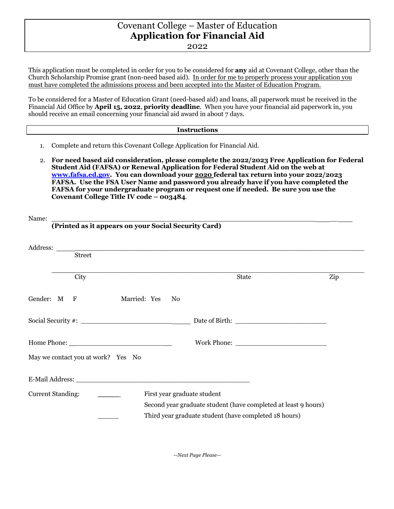## Covenant College – Master of Education **Application for Financial Aid**

2022

This application must be completed in order for you to be considered for **any** aid at Covenant College, other than the Church Scholarship Promise grant (non-need based aid). In order for me to properly process your application you must have completed the admissions process and been accepted into the Master of Education Program.

To be considered for a Master of Education Grant (need-based aid) and loans, all paperwork must be received in the Financial Aid Office by **April 15, 2022**, **priority deadline**. When you have your financial aid paperwork in, you should receive an email concerning your financial aid award in about 7 days.

## **Instructions**

- 1. Complete and return this Covenant College Application for Financial Aid.
- 2. **For need based aid consideration, please complete the 2022/2023 Free Application for Federal Student Aid (FAFSA) or Renewal Application for Federal Student Aid on the web at www.fafsa.ed.gov. You can download your 2020 federal tax return into your 2022/2023 FAFSA. Use the FSA User Name and password you already have if you have completed the FAFSA for your undergraduate program or request one if needed. Be sure you use the Covenant College Title IV code – 003484**.

| Name:                                                   |                                                                                                                                                                                                                               |     |
|---------------------------------------------------------|-------------------------------------------------------------------------------------------------------------------------------------------------------------------------------------------------------------------------------|-----|
| (Printed as it appears on your Social Security Card)    |                                                                                                                                                                                                                               |     |
|                                                         |                                                                                                                                                                                                                               |     |
| Street                                                  |                                                                                                                                                                                                                               |     |
| City                                                    | <b>State</b>                                                                                                                                                                                                                  | Zip |
| Gender: M F<br>Married: Yes No                          |                                                                                                                                                                                                                               |     |
|                                                         |                                                                                                                                                                                                                               |     |
|                                                         | Work Phone: New York District Phone: New York Phone: New York Phone: New York Phone: New York Phone: New York Phone: New York Phone: New York Phone: New York Phone: New York Phone: New York Phone: New York Phone: New York |     |
| May we contact you at work? Yes No                      |                                                                                                                                                                                                                               |     |
|                                                         |                                                                                                                                                                                                                               |     |
| <b>Current Standing:</b><br>First year graduate student |                                                                                                                                                                                                                               |     |
|                                                         | Second year graduate student (have completed at least 9 hours)                                                                                                                                                                |     |
|                                                         | Third year graduate student (have completed 18 hours)                                                                                                                                                                         |     |
|                                                         |                                                                                                                                                                                                                               |     |

*--Next Page Please—*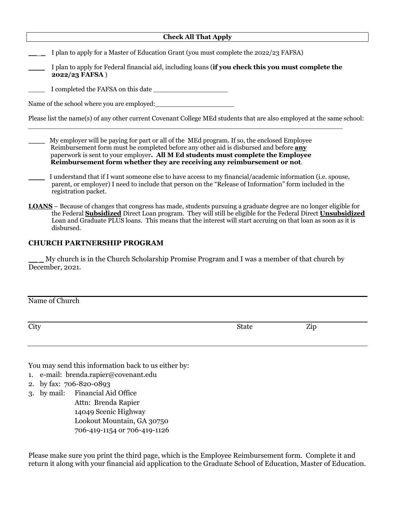| <b>Check All That Apply</b>                                                                                                                                                                                                                                                                                                                         |  |  |  |  |
|-----------------------------------------------------------------------------------------------------------------------------------------------------------------------------------------------------------------------------------------------------------------------------------------------------------------------------------------------------|--|--|--|--|
| I plan to apply for a Master of Education Grant (you must complete the 2022/23 FAFSA)                                                                                                                                                                                                                                                               |  |  |  |  |
| I plan to apply for Federal financial aid, including loans (if you check this you must complete the<br>2022/23 FAFSA)                                                                                                                                                                                                                               |  |  |  |  |
| I completed the FAFSA on this date                                                                                                                                                                                                                                                                                                                  |  |  |  |  |
| Name of the school where you are employed:                                                                                                                                                                                                                                                                                                          |  |  |  |  |
| Please list the name(s) of any other current Covenant College MEd students that are also employed at the same school:                                                                                                                                                                                                                               |  |  |  |  |
| My employer will be paying for part or all of the MEd program. If so, the enclosed Employee<br>Reimbursement form must be completed before any other aid is disbursed and before any<br>paperwork is sent to your employer. All M Ed students must complete the Employee<br>Reimbursement form whether they are receiving any reimbursement or not. |  |  |  |  |
| I understand that if I want someone else to have access to my financial/academic information (i.e. spouse,<br>parent, or employer) I need to include that person on the "Release of Information" form included in the<br>registration packet.                                                                                                       |  |  |  |  |
| <b>LOANS</b> – Because of changes that congress has made, students pursuing a graduate degree are no longer eligible for<br>the Federal <b>Subsidized</b> Direct Loan program. They will still be eligible for the Federal Direct <b>Unsubsidized</b>                                                                                               |  |  |  |  |

## **CHURCH PARTNERSHIP PROGRAM**

My church is in the Church Scholarship Promise Program and I was a member of that church by December, 2021.

Loan and Graduate PLUS loans. This means that the interest will start accruing on that loan as soon as it is

Name of Church

disbursed.

City State Zip

You may send this information back to us either by:

- 1. e-mail: brenda.rapier@covenant.edu
- 2. by fax: 706-820-0893
- 3. by mail: Financial Aid Office

 Attn: Brenda Rapier 14049 Scenic Highway Lookout Mountain, GA 30750 706-419-1154 or 706-419-1126

Please make sure you print the third page, which is the Employee Reimbursement form. Complete it and return it along with your financial aid application to the Graduate School of Education, Master of Education.